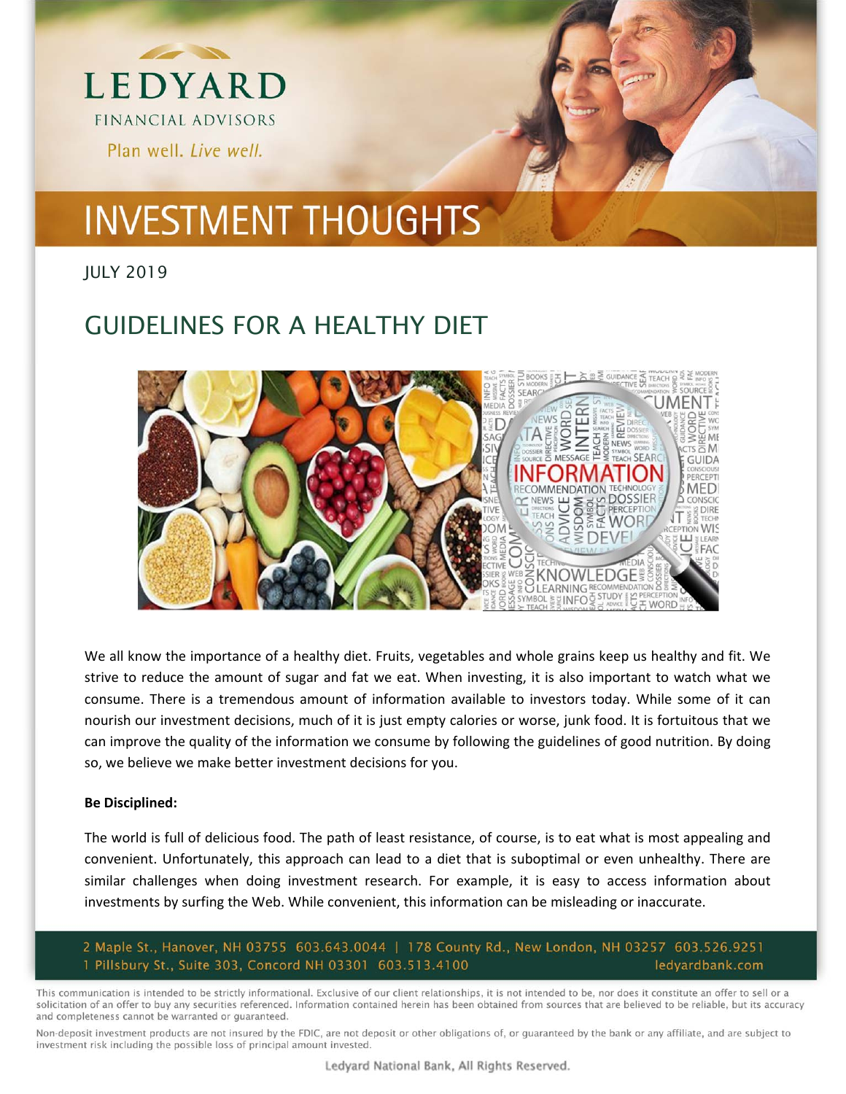

# **INVESTMENT THOUGHTS**

JULY 2019

### GUIDELINES FOR A HEALTHY DIET



We all know the importance of a healthy diet. Fruits, vegetables and whole grains keep us healthy and fit. We strive to reduce the amount of sugar and fat we eat. When investing, it is also important to watch what we consume. There is a tremendous amount of information available to investors today. While some of it can nourish our investment decisions, much of it is just empty calories or worse, junk food. It is fortuitous that we can improve the quality of the information we consume by following the guidelines of good nutrition. By doing so, we believe we make better investment decisions for you.

#### **Be Disciplined:**

The world is full of delicious food. The path of least resistance, of course, is to eat what is most appealing and convenient. Unfortunately, this approach can lead to a diet that is suboptimal or even unhealthy. There are similar challenges when doing investment research. For example, it is easy to access information about investments by surfing the Web. While convenient, this information can be misleading or inaccurate.

2 Maple St., Hanover, NH 03755 603.643.0044 | 178 County Rd., New London, NH 03257 603.526.9251 1 Pillsbury St., Suite 303, Concord NH 03301 603.513.4100 ledyardbank.com

This communication is intended to be strictly informational. Exclusive of our client relationships, it is not intended to be, nor does it constitute an offer to sell or a solicitation of an offer to buy any securities referenced. Information contained herein has been obtained from sources that are believed to be reliable, but its accuracy and completeness cannot be warranted or guaranteed.

Non-deposit investment products are not insured by the FDIC, are not deposit or other obligations of, or quaranteed by the bank or any affiliate, and are subject to investment risk including the possible loss of principal amount invested.

Ledyard National Bank, All Rights Reserved.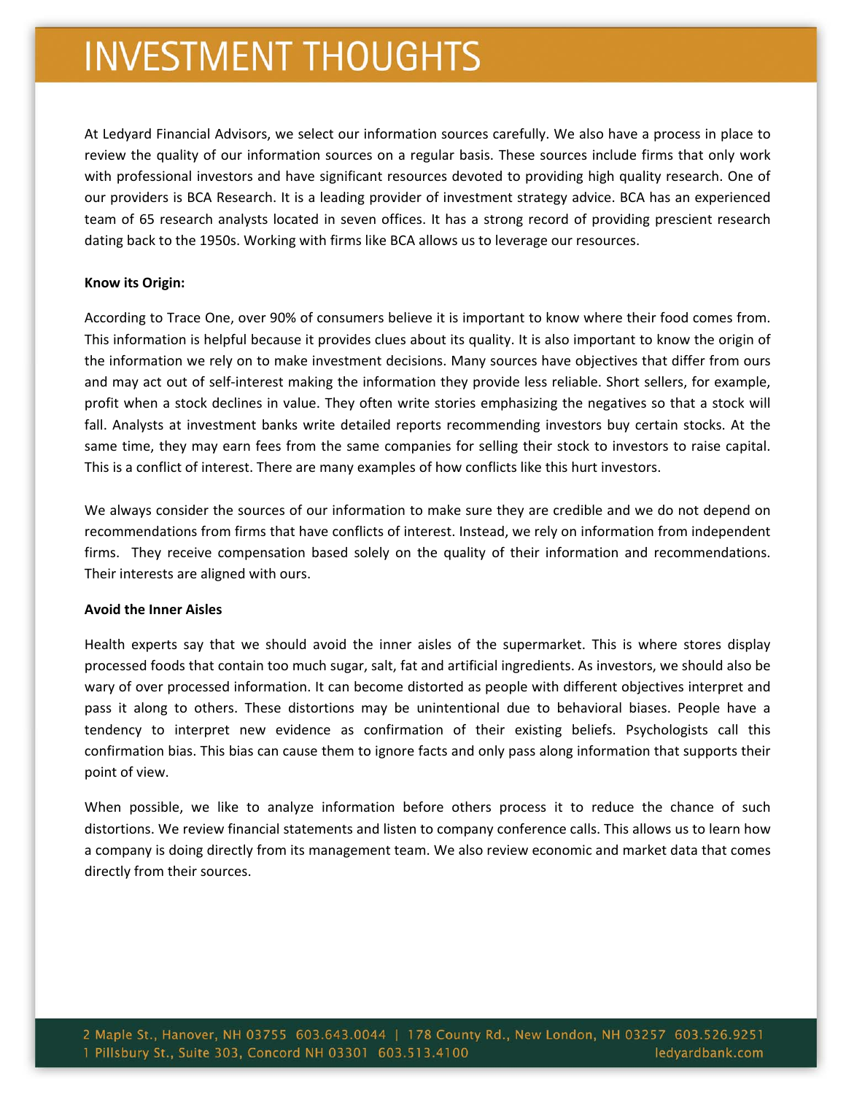## **INVESTMENT THOUGHTS**

At Ledyard Financial Advisors, we select our information sources carefully. We also have a process in place to review the quality of our information sources on a regular basis. These sources include firms that only work with professional investors and have significant resources devoted to providing high quality research. One of our providers is BCA Research. It is a leading provider of investment strategy advice. BCA has an experienced team of 65 research analysts located in seven offices. It has a strong record of providing prescient research dating back to the 1950s. Working with firms like BCA allows us to leverage our resources.

#### **Know its Origin:**

According to Trace One, over 90% of consumers believe it is important to know where their food comes from. This information is helpful because it provides clues about its quality. It is also important to know the origin of the information we rely on to make investment decisions. Many sources have objectives that differ from ours and may act out of self‐interest making the information they provide less reliable. Short sellers, for example, profit when a stock declines in value. They often write stories emphasizing the negatives so that a stock will fall. Analysts at investment banks write detailed reports recommending investors buy certain stocks. At the same time, they may earn fees from the same companies for selling their stock to investors to raise capital. This is a conflict of interest. There are many examples of how conflicts like this hurt investors.

We always consider the sources of our information to make sure they are credible and we do not depend on recommendations from firms that have conflicts of interest. Instead, we rely on information from independent firms. They receive compensation based solely on the quality of their information and recommendations. Their interests are aligned with ours.

#### **Avoid the Inner Aisles**

Health experts say that we should avoid the inner aisles of the supermarket. This is where stores display processed foods that contain too much sugar, salt, fat and artificial ingredients. As investors, we should also be wary of over processed information. It can become distorted as people with different objectives interpret and pass it along to others. These distortions may be unintentional due to behavioral biases. People have a tendency to interpret new evidence as confirmation of their existing beliefs. Psychologists call this confirmation bias. This bias can cause them to ignore facts and only pass along information that supports their point of view.

When possible, we like to analyze information before others process it to reduce the chance of such distortions. We review financial statements and listen to company conference calls. This allows us to learn how a company is doing directly from its management team. We also review economic and market data that comes directly from their sources.